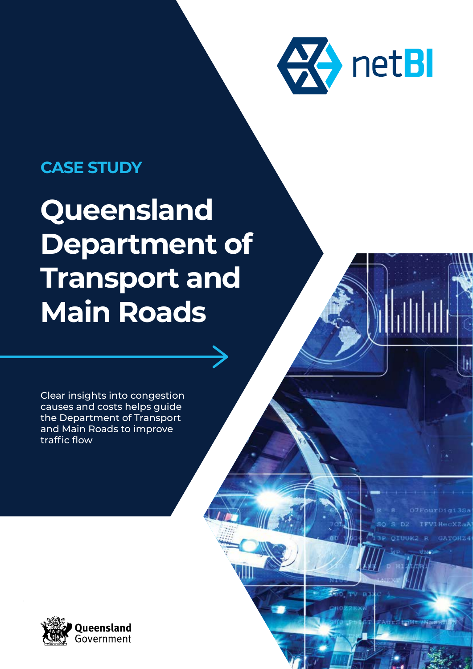

**GATOHZ4** 

FAULS LOWE / Nam

### **CASE STUDY**

# **Queensland Department of Transport and Main Roads**

Clear insights into congestion causes and costs helps guide the Department of Transport and Main Roads to improve traffic flow

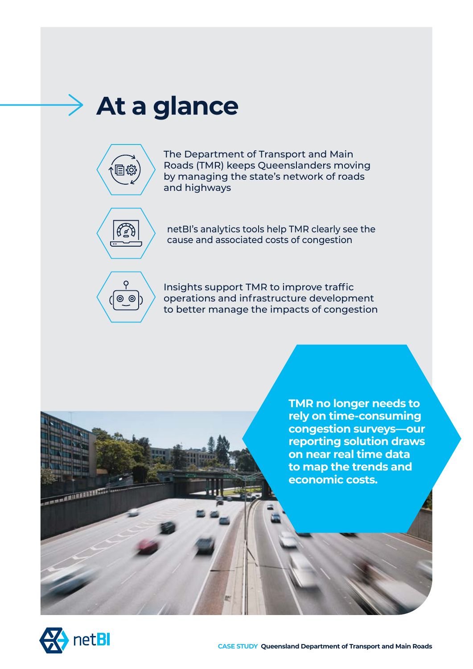## **At a glance**



The Department of Transport and Main Roads (TMR) keeps Queenslanders moving by managing the state's network of roads and highways



netBI's analytics tools help TMR clearly see the cause and associated costs of congestion



Insights support TMR to improve traffic operations and infrastructure development to better manage the impacts of congestion

> **TMR no longer needs to rely on time-consuming congestion surveys—our reporting solution draws on near real time data to map the trends and economic costs.**



**STATISTICS**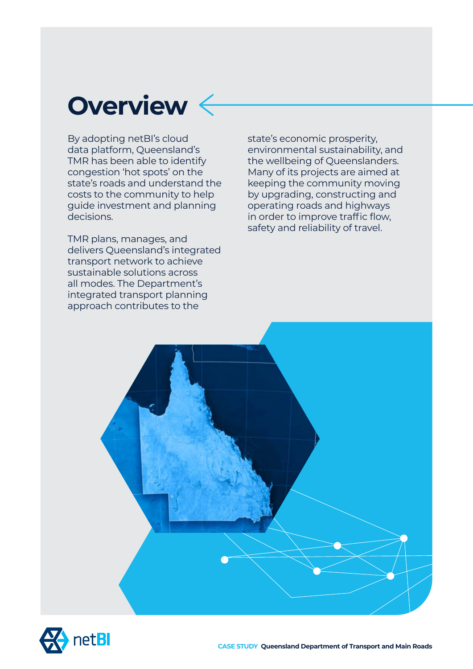## **Overview**

By adopting netBI's cloud data platform, Queensland's TMR has been able to identify congestion 'hot spots' on the state's roads and understand the costs to the community to help guide investment and planning decisions.

TMR plans, manages, and delivers Queensland's integrated transport network to achieve sustainable solutions across all modes. The Department's integrated transport planning approach contributes to the

state's economic prosperity, environmental sustainability, and the wellbeing of Queenslanders. Many of its projects are aimed at keeping the community moving by upgrading, constructing and operating roads and highways in order to improve traffic flow, safety and reliability of travel.



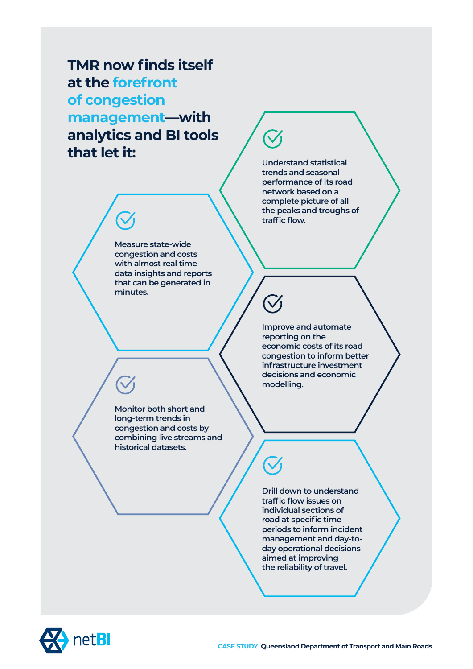**TMR now finds itself at the forefront of congestion management—with analytics and BI tools that let it:**

**Understand statistical trends and seasonal performance of its road network based on a complete picture of all the peaks and troughs of traffic flow.** 

**Measure state-wide congestion and costs with almost real time data insights and reports that can be generated in minutes.** 

> **Improve and automate reporting on the economic costs of its road congestion to inform better infrastructure investment decisions and economic modelling.**

**Monitor both short and long-term trends in congestion and costs by combining live streams and historical datasets.**

> **Drill down to understand traffic flow issues on individual sections of road at specific time periods to inform incident management and day-today operational decisions aimed at improving the reliability of travel.**

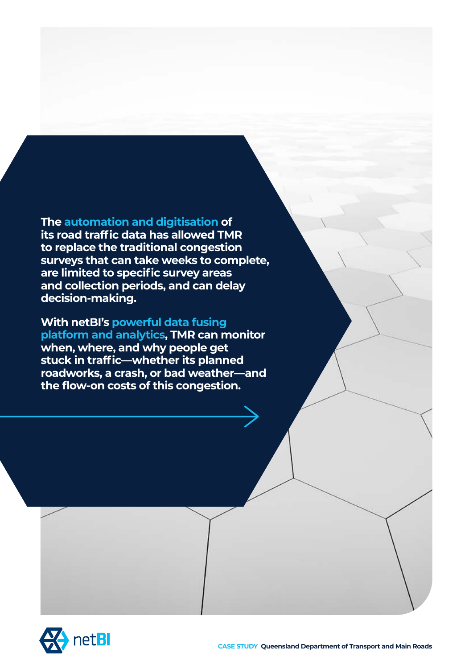### **The automation and digitisation of**

**its road traffic data has allowed TMR to replace the traditional congestion surveys that can take weeks to complete, are limited to specific survey areas and collection periods, and can delay decision-making.** 

#### **With netBI's powerful data fusing**

**platform and analytics, TMR can monitor when, where, and why people get stuck in traffic—whether its planned roadworks, a crash, or bad weather—and the flow-on costs of this congestion.** 

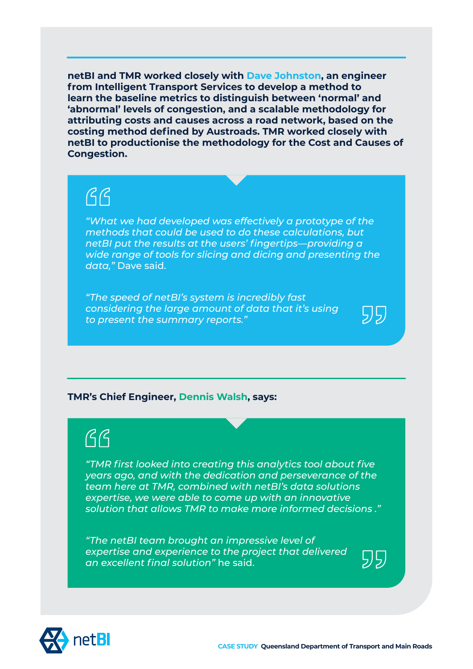**netBI and TMR worked closely with Dave Johnston, an engineer from Intelligent Transport Services to develop a method to learn the baseline metrics to distinguish between 'normal' and 'abnormal' levels of congestion, and a scalable methodology for attributing costs and causes across a road network, based on the costing method defined by Austroads. TMR worked closely with netBI to productionise the methodology for the Cost and Causes of Congestion.**

## $AG$

*"What we had developed was effectively a prototype of the methods that could be used to do these calculations, but netBI put the results at the users' fingertips—providing a wide range of tools for slicing and dicing and presenting the data,"* Dave said.

*"The speed of netBI's system is incredibly fast considering the large amount of data that it's using to present the summary reports."*



### $\beta\beta$

*"TMR first looked into creating this analytics tool about five years ago, and with the dedication and perseverance of the team here at TMR, combined with netBI's data solutions expertise, we were able to come up with an innovative solution that allows TMR to make more informed decisions ."* 

*"The netBI team brought an impressive level of expertise and experience to the project that delivered an excellent final solution"* he said.



ردارد

55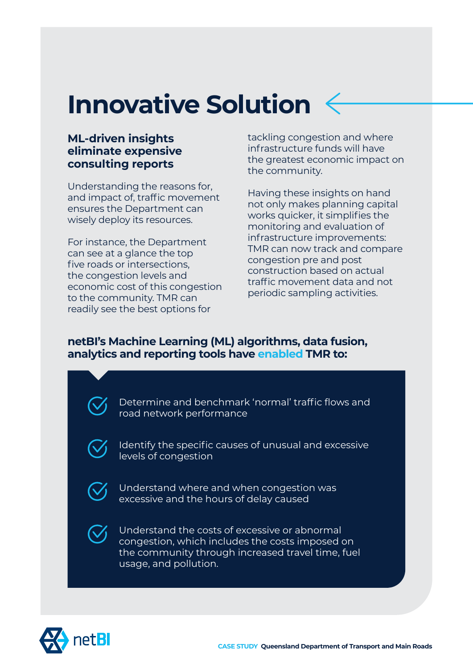## **Innovative Solution**

### **ML-driven insights eliminate expensive consulting reports**

Understanding the reasons for, and impact of, traffic movement ensures the Department can wisely deploy its resources.

For instance, the Department can see at a glance the top five roads or intersections, the congestion levels and economic cost of this congestion to the community. TMR can readily see the best options for

tackling congestion and where infrastructure funds will have the greatest economic impact on the community.

Having these insights on hand not only makes planning capital works quicker, it simplifies the monitoring and evaluation of infrastructure improvements: TMR can now track and compare congestion pre and post construction based on actual traffic movement data and not periodic sampling activities.

### **netBI's Machine Learning (ML) algorithms, data fusion, analytics and reporting tools have enabled TMR to:**



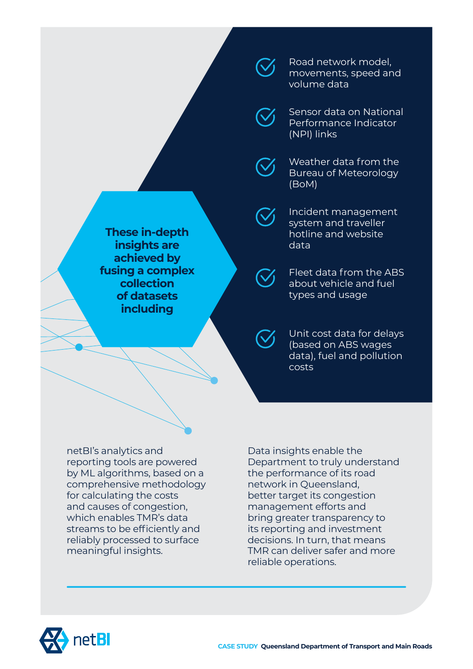

Road network model, movements, speed and volume data

Sensor data on National Performance Indicator (NPI) links

Weather data from the Bureau of Meteorology (BoM)

Incident management system and traveller hotline and website data

Fleet data from the ABS about vehicle and fuel types and usage

Unit cost data for delays (based on ABS wages data), fuel and pollution costs

netBI's analytics and reporting tools are powered by ML algorithms, based on a comprehensive methodology for calculating the costs and causes of congestion, which enables TMR's data streams to be efficiently and reliably processed to surface meaningful insights.

**These in-depth insights are achieved by fusing a complex collection of datasets including**

> Department to truly understand the performance of its road network in Queensland, better target its congestion management efforts and bring greater transparency to its reporting and investment decisions. In turn, that means TMR can deliver safer and more reliable operations.



Data insights enable the

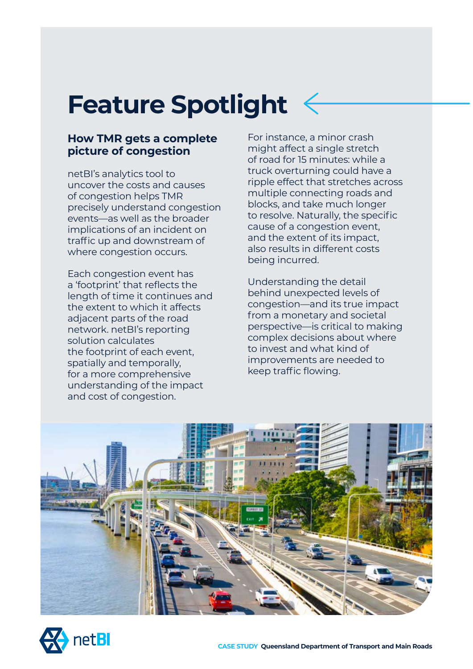## **Feature Spotlight**

### **How TMR gets a complete picture of congestion**

netBI's analytics tool to uncover the costs and causes of congestion helps TMR precisely understand congestion events—as well as the broader implications of an incident on traffic up and downstream of where congestion occurs.

Each congestion event has a 'footprint' that reflects the length of time it continues and the extent to which it affects adjacent parts of the road network. netBI's reporting solution calculates the footprint of each event, spatially and temporally, for a more comprehensive understanding of the impact and cost of congestion.

For instance, a minor crash might affect a single stretch of road for 15 minutes: while a truck overturning could have a ripple effect that stretches across multiple connecting roads and blocks, and take much longer to resolve. Naturally, the specific cause of a congestion event, and the extent of its impact, also results in different costs being incurred.

Understanding the detail behind unexpected levels of congestion—and its true impact from a monetary and societal perspective—is critical to making complex decisions about where to invest and what kind of improvements are needed to keep traffic flowing.